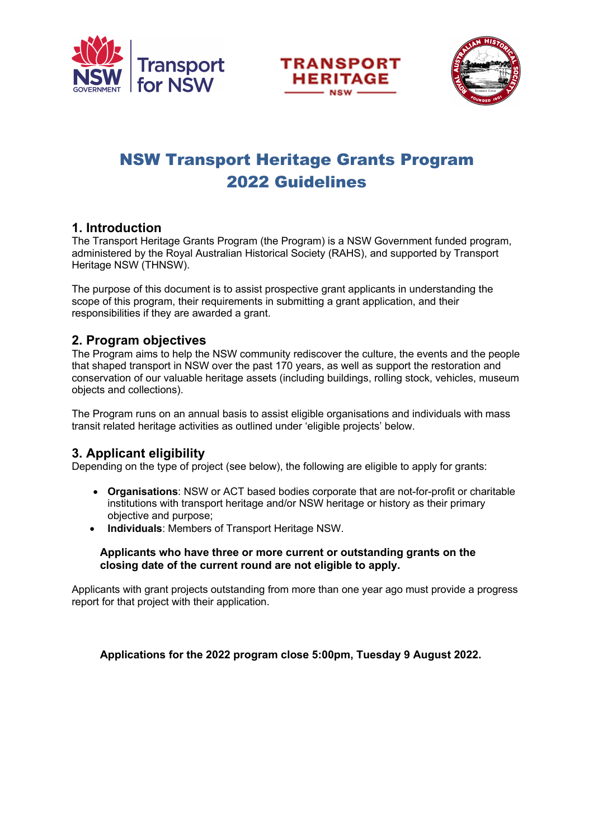





# NSW Transport Heritage Grants Program 2022 Guidelines

### **1. Introduction**

The Transport Heritage Grants Program (the Program) is a NSW Government funded program, administered by the Royal Australian Historical Society (RAHS), and supported by Transport Heritage NSW (THNSW).

The purpose of this document is to assist prospective grant applicants in understanding the scope of this program, their requirements in submitting a grant application, and their responsibilities if they are awarded a grant.

### **2. Program objectives**

The Program aims to help the NSW community rediscover the culture, the events and the people that shaped transport in NSW over the past 170 years, as well as support the restoration and conservation of our valuable heritage assets (including buildings, rolling stock, vehicles, museum objects and collections).

The Program runs on an annual basis to assist eligible organisations and individuals with mass transit related heritage activities as outlined under 'eligible projects' below.

### **3. Applicant eligibility**

Depending on the type of project (see below), the following are eligible to apply for grants:

- **Organisations**: NSW or ACT based bodies corporate that are not-for-profit or charitable institutions with transport heritage and/or NSW heritage or history as their primary objective and purpose;
- **Individuals**: Members of Transport Heritage NSW.

### **Applicants who have three or more current or outstanding grants on the closing date of the current round are not eligible to apply.**

Applicants with grant projects outstanding from more than one year ago must provide a progress report for that project with their application.

**Applications for the 2022 program close 5:00pm, Tuesday 9 August 2022.**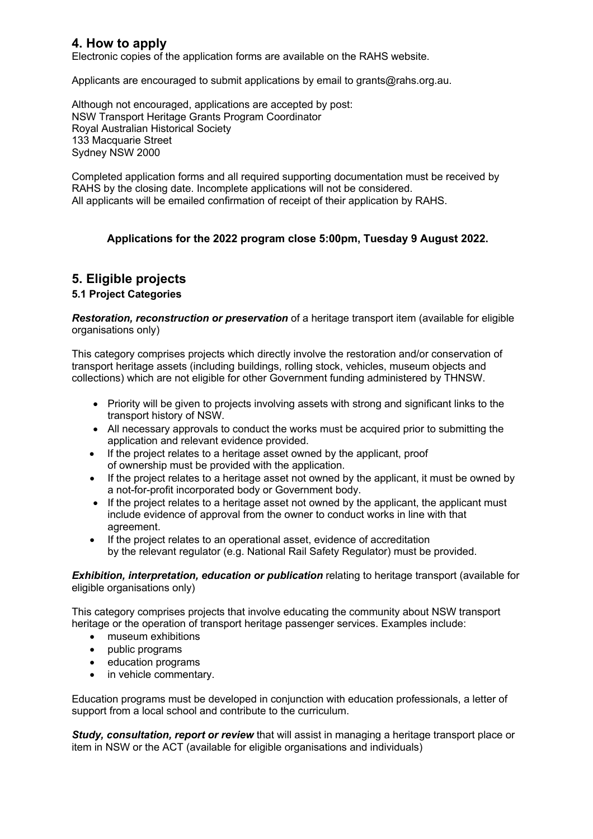### **4. How to apply**

Electronic copies of the application forms are available on the RAHS website.

Applicants are encouraged to submit applications by email to grants@rahs.org.au.

Although not encouraged, applications are accepted by post: NSW Transport Heritage Grants Program Coordinator Royal Australian Historical Society 133 Macquarie Street Sydney NSW 2000

Completed application forms and all required supporting documentation must be received by RAHS by the closing date. Incomplete applications will not be considered. All applicants will be emailed confirmation of receipt of their application by RAHS.

### **Applications for the 2022 program close 5:00pm, Tuesday 9 August 2022.**

### **5. Eligible projects**

### **5.1 Project Categories**

*Restoration, reconstruction or preservation* of a heritage transport item (available for eligible organisations only)

This category comprises projects which directly involve the restoration and/or conservation of transport heritage assets (including buildings, rolling stock, vehicles, museum objects and collections) which are not eligible for other Government funding administered by THNSW.

- Priority will be given to projects involving assets with strong and significant links to the transport history of NSW.
- All necessary approvals to conduct the works must be acquired prior to submitting the application and relevant evidence provided.
- If the project relates to a heritage asset owned by the applicant, proof of ownership must be provided with the application.
- If the project relates to a heritage asset not owned by the applicant, it must be owned by a not-for-profit incorporated body or Government body.
- If the project relates to a heritage asset not owned by the applicant, the applicant must include evidence of approval from the owner to conduct works in line with that agreement.
- If the project relates to an operational asset, evidence of accreditation by the relevant regulator (e.g. National Rail Safety Regulator) must be provided.

#### *Exhibition, interpretation, education or publication* relating to heritage transport (available for eligible organisations only)

This category comprises projects that involve educating the community about NSW transport heritage or the operation of transport heritage passenger services. Examples include:

- museum exhibitions
- public programs
- education programs
- in vehicle commentary.

Education programs must be developed in conjunction with education professionals, a letter of support from a local school and contribute to the curriculum.

*Study, consultation, report or review* that will assist in managing a heritage transport place or item in NSW or the ACT (available for eligible organisations and individuals)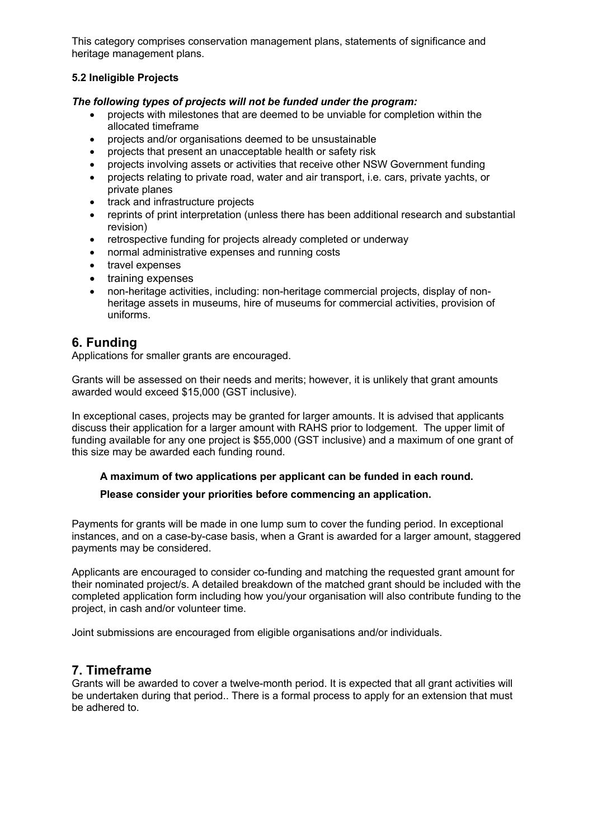This category comprises conservation management plans, statements of significance and heritage management plans.

### **5.2 Ineligible Projects**

### *The following types of projects will not be funded under the program:*

- projects with milestones that are deemed to be unviable for completion within the allocated timeframe
- projects and/or organisations deemed to be unsustainable
- projects that present an unacceptable health or safety risk
- projects involving assets or activities that receive other NSW Government funding
- projects relating to private road, water and air transport, i.e. cars, private yachts, or private planes
- track and infrastructure projects
- reprints of print interpretation (unless there has been additional research and substantial revision)
- retrospective funding for projects already completed or underway
- normal administrative expenses and running costs
- travel expenses
- training expenses
- non-heritage activities, including: non-heritage commercial projects, display of nonheritage assets in museums, hire of museums for commercial activities, provision of uniforms.

### **6. Funding**

Applications for smaller grants are encouraged.

Grants will be assessed on their needs and merits; however, it is unlikely that grant amounts awarded would exceed \$15,000 (GST inclusive).

In exceptional cases, projects may be granted for larger amounts. It is advised that applicants discuss their application for a larger amount with RAHS prior to lodgement. The upper limit of funding available for any one project is \$55,000 (GST inclusive) and a maximum of one grant of this size may be awarded each funding round.

### **A maximum of two applications per applicant can be funded in each round.**

#### **Please consider your priorities before commencing an application.**

Payments for grants will be made in one lump sum to cover the funding period. In exceptional instances, and on a case-by-case basis, when a Grant is awarded for a larger amount, staggered payments may be considered.

Applicants are encouraged to consider co-funding and matching the requested grant amount for their nominated project/s. A detailed breakdown of the matched grant should be included with the completed application form including how you/your organisation will also contribute funding to the project, in cash and/or volunteer time.

Joint submissions are encouraged from eligible organisations and/or individuals.

### **7. Timeframe**

Grants will be awarded to cover a twelve-month period. It is expected that all grant activities will be undertaken during that period.. There is a formal process to apply for an extension that must be adhered to.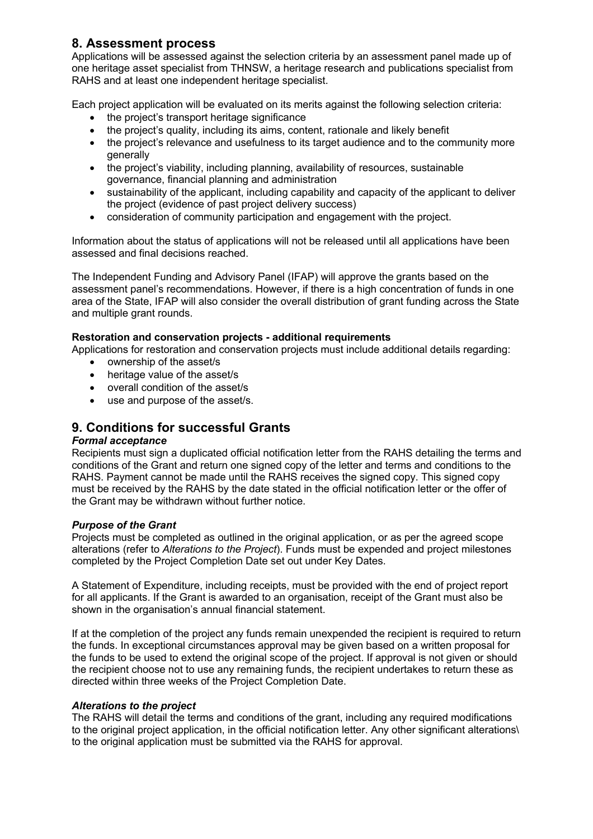### **8. Assessment process**

Applications will be assessed against the selection criteria by an assessment panel made up of one heritage asset specialist from THNSW, a heritage research and publications specialist from RAHS and at least one independent heritage specialist.

Each project application will be evaluated on its merits against the following selection criteria:

- the project's transport heritage significance
- the project's quality, including its aims, content, rationale and likely benefit
- the project's relevance and usefulness to its target audience and to the community more generally
- the project's viability, including planning, availability of resources, sustainable governance, financial planning and administration
- sustainability of the applicant, including capability and capacity of the applicant to deliver the project (evidence of past project delivery success)
- consideration of community participation and engagement with the project.

Information about the status of applications will not be released until all applications have been assessed and final decisions reached.

The Independent Funding and Advisory Panel (IFAP) will approve the grants based on the assessment panel's recommendations. However, if there is a high concentration of funds in one area of the State, IFAP will also consider the overall distribution of grant funding across the State and multiple grant rounds.

### **Restoration and conservation projects - additional requirements**

Applications for restoration and conservation projects must include additional details regarding:

- ownership of the asset/s
- heritage value of the asset/s
- overall condition of the asset/s
- use and purpose of the asset/s.

### **9. Conditions for successful Grants**

#### *Formal acceptance*

Recipients must sign a duplicated official notification letter from the RAHS detailing the terms and conditions of the Grant and return one signed copy of the letter and terms and conditions to the RAHS. Payment cannot be made until the RAHS receives the signed copy. This signed copy must be received by the RAHS by the date stated in the official notification letter or the offer of the Grant may be withdrawn without further notice.

#### *Purpose of the Grant*

Projects must be completed as outlined in the original application, or as per the agreed scope alterations (refer to *Alterations to the Project*). Funds must be expended and project milestones completed by the Project Completion Date set out under Key Dates.

A Statement of Expenditure, including receipts, must be provided with the end of project report for all applicants. If the Grant is awarded to an organisation, receipt of the Grant must also be shown in the organisation's annual financial statement.

If at the completion of the project any funds remain unexpended the recipient is required to return the funds. In exceptional circumstances approval may be given based on a written proposal for the funds to be used to extend the original scope of the project. If approval is not given or should the recipient choose not to use any remaining funds, the recipient undertakes to return these as directed within three weeks of the Project Completion Date.

#### *Alterations to the project*

The RAHS will detail the terms and conditions of the grant, including any required modifications to the original project application, in the official notification letter. Any other significant alterations\ to the original application must be submitted via the RAHS for approval.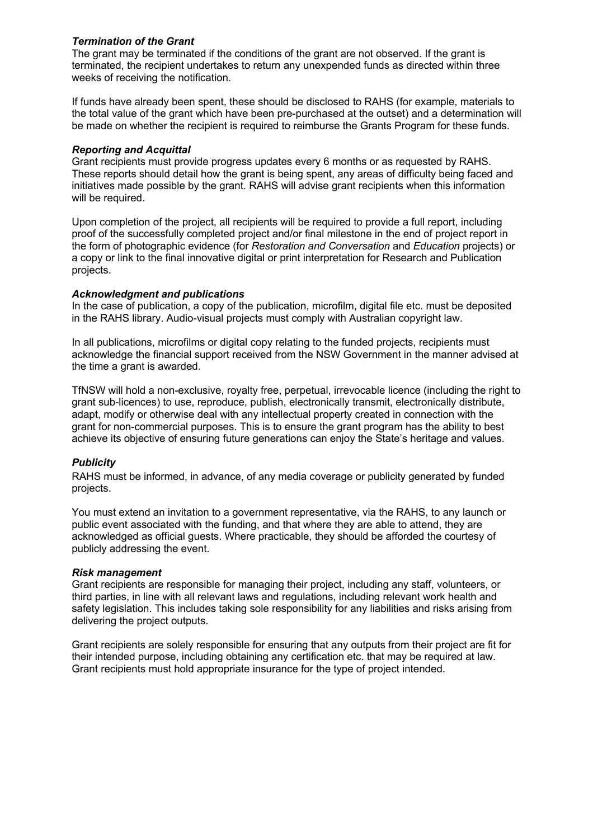### *Termination of the Grant*

The grant may be terminated if the conditions of the grant are not observed. If the grant is terminated, the recipient undertakes to return any unexpended funds as directed within three weeks of receiving the notification.

If funds have already been spent, these should be disclosed to RAHS (for example, materials to the total value of the grant which have been pre-purchased at the outset) and a determination will be made on whether the recipient is required to reimburse the Grants Program for these funds.

#### *Reporting and Acquittal*

Grant recipients must provide progress updates every 6 months or as requested by RAHS. These reports should detail how the grant is being spent, any areas of difficulty being faced and initiatives made possible by the grant. RAHS will advise grant recipients when this information will be required.

Upon completion of the project, all recipients will be required to provide a full report, including proof of the successfully completed project and/or final milestone in the end of project report in the form of photographic evidence (for *Restoration and Conversation* and *Education* projects) or a copy or link to the final innovative digital or print interpretation for Research and Publication projects.

#### *Acknowledgment and publications*

In the case of publication, a copy of the publication, microfilm, digital file etc. must be deposited in the RAHS library. Audio-visual projects must comply with Australian copyright law.

In all publications, microfilms or digital copy relating to the funded projects, recipients must acknowledge the financial support received from the NSW Government in the manner advised at the time a grant is awarded.

TfNSW will hold a non-exclusive, royalty free, perpetual, irrevocable licence (including the right to grant sub-licences) to use, reproduce, publish, electronically transmit, electronically distribute, adapt, modify or otherwise deal with any intellectual property created in connection with the grant for non-commercial purposes. This is to ensure the grant program has the ability to best achieve its objective of ensuring future generations can enjoy the State's heritage and values.

#### *Publicity*

RAHS must be informed, in advance, of any media coverage or publicity generated by funded projects.

You must extend an invitation to a government representative, via the RAHS, to any launch or public event associated with the funding, and that where they are able to attend, they are acknowledged as official guests. Where practicable, they should be afforded the courtesy of publicly addressing the event.

#### *Risk management*

Grant recipients are responsible for managing their project, including any staff, volunteers, or third parties, in line with all relevant laws and regulations, including relevant work health and safety legislation. This includes taking sole responsibility for any liabilities and risks arising from delivering the project outputs.

Grant recipients are solely responsible for ensuring that any outputs from their project are fit for their intended purpose, including obtaining any certification etc. that may be required at law. Grant recipients must hold appropriate insurance for the type of project intended.